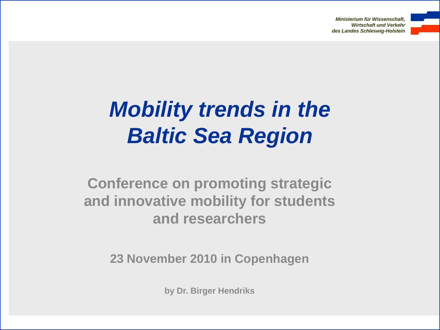*Ministerium für Wissenschaft, Wirtschaft und Verkehr des Landes Schleswig-Holstein*



# *Mobility trends in the Baltic Sea Region*

**Conference on promoting strategic and innovative mobility for students and researchers**

**23 November 2010 in Copenhagen**

**by Dr. Birger Hendriks**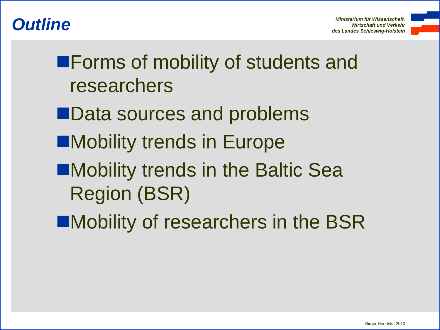



**Example 7 Forms of mobility of students and** researchers

- **Data sources and problems**
- **Mobility trends in Europe**
- ■Mobility trends in the Baltic Sea Region (BSR)
- **EMobility of researchers in the BSR**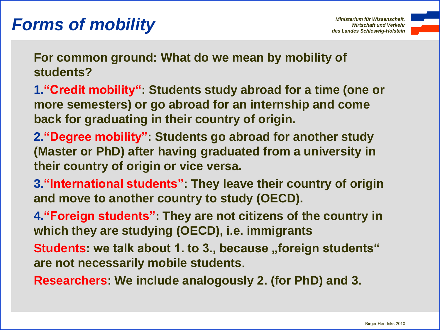## **Forms of mobility** *Ministerium für Wissenschaft, Ministerium für Wissenschaft, Ministerium für Wissenschaft,*



**For common ground: What do we mean by mobility of students?**

- **1."Credit mobility": Students study abroad for a time (one or more semesters) or go abroad for an internship and come back for graduating in their country of origin.**
- **2."Degree mobility": Students go abroad for another study (Master or PhD) after having graduated from a university in their country of origin or vice versa.**
- **3."International students": They leave their country of origin and move to another country to study (OECD).**
- **4."Foreign students": They are not citizens of the country in which they are studying (OECD), i.e. immigrants**
- **Students: we talk about 1. to 3., because "foreign students" are not necessarily mobile students**.
- **Researchers: We include analogously 2. (for PhD) and 3.**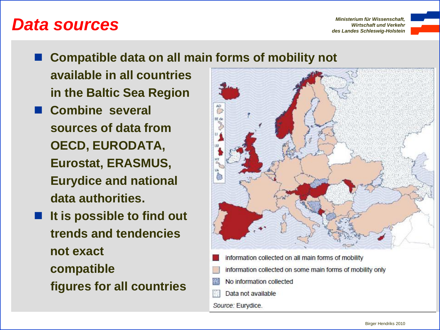### **Data sources**<br>Ministerium tur Wissenschaft, and Verkehr

*Ministerium für Wissenschaft,*



**Compatible data on all main forms of mobility not**

**available in all countries in the Baltic Sea Region** 

- **Combine several sources of data from OECD, EURODATA, Eurostat, ERASMUS, Eurydice and national data authorities.**
- **It is possible to find out trends and tendencies not exact compatible figures for all countries**



- information collected on all main forms of mobility
- information collected on some main forms of mobility only
- No information collected
- Data not available

Source: Eurydice.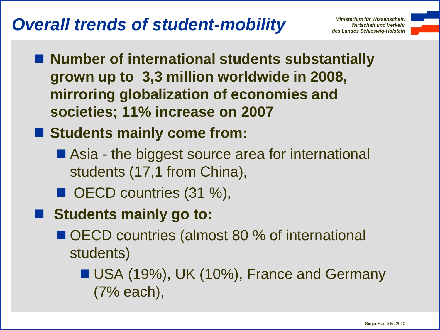## **Overall trends of student-mobility** *Ministerium für Wissenschaft,*

*Ministerium für Wissenschaft,*



- Number of international students substantially **grown up to 3,3 million worldwide in 2008, mirroring globalization of economies and societies; 11% increase on 2007**
- Students mainly come from:
	- Asia the biggest source area for international students (17,1 from China),
	- OECD countries (31 %),
- **E** Students mainly go to:
	- OECD countries (almost 80 % of international students)

**USA (19%), UK (10%), France and Germany** (7% each),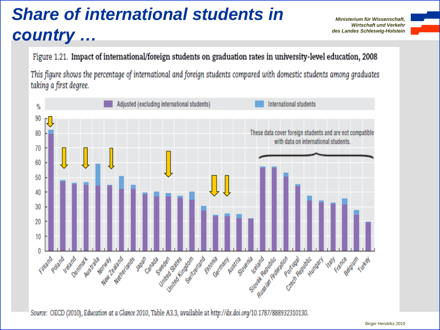# *Share of international students in country …*

*Ministerium für Wissenschaft, Wirtschaft und Verkehr des Landes Schleswig-Holstein*



Figure 1.21. Impact of international/foreign students on graduation rates in university-level education, 2008

This figure shows the percentage of international and foreign students compared with domestic students among graduates taking a first degree.



Source: OECD (2010), Education at a Glance 2010, Table A3.3, available at http://dx.doi.org/10.1787/888932310130.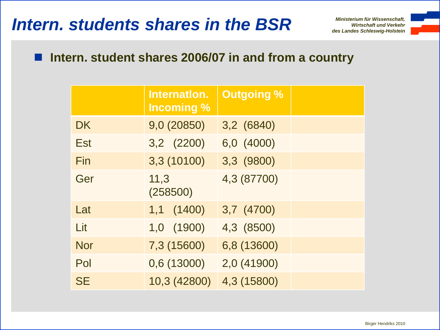### *Intern. students shares in the BSR Ministerium für Wissenschaft,*

*Ministerium für Wissenschaft, Wirtschaft und Verkehr*



#### ■ Intern. student shares 2006/07 in and from a country

|            | Internation.<br><b>Incoming %</b> | <b>Outgoing %</b> |  |
|------------|-----------------------------------|-------------------|--|
| <b>DK</b>  | 9,0 (20850)                       | 3,2 (6840)        |  |
| Est        | 3,2 (2200)                        | 6,0 (4000)        |  |
| Fin        | 3,3 (10100)                       | 3,3 (9800)        |  |
| Ger        | 11,3<br>(258500)                  | 4,3 (87700)       |  |
| Lat        | 1,1 (1400)                        | 3,7 (4700)        |  |
| Lit        | 1,0 (1900)                        | 4,3 (8500)        |  |
| <b>Nor</b> | 7,3 (15600)                       | 6,8 (13600)       |  |
| Pol        | 0,6 (13000)                       | 2,0 (41900)       |  |
| <b>SE</b>  | 10,3 (42800)                      | 4,3 (15800)       |  |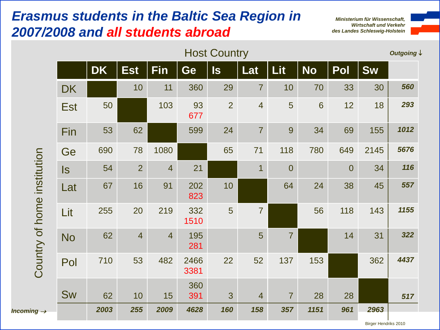#### *Erasmus students in the Baltic Sea Region in 2007/2008 and all students abroad*

*Incoming* 

*Ministerium für Wissenschaft, Wirtschaft und Verkehr des Landes Schleswig-Holstein*



| <b>Host Country</b> |           |                |                |              |                         |                |                |           |                | Outgoing \ |      |
|---------------------|-----------|----------------|----------------|--------------|-------------------------|----------------|----------------|-----------|----------------|------------|------|
|                     | <b>DK</b> | <b>Est</b>     | <b>Fin</b>     | Ge           | $\overline{\mathsf{s}}$ | Lat            | <b>Lit</b>     | <b>No</b> | Pol            | <b>Sw</b>  |      |
| <b>DK</b>           |           | 10             | 11             | 360          | 29                      | $\overline{7}$ | 10             | 70        | 33             | 30         | 560  |
| <b>Est</b>          | 50        |                | 103            | 93<br>677    | $\overline{2}$          | $\overline{4}$ | 5              | 6         | 12             | 18         | 293  |
| Fin                 | 53        | 62             |                | 599          | 24                      | $\overline{7}$ | 9              | 34        | 69             | 155        | 1012 |
| Ge                  | 690       | 78             | 1080           |              | 65                      | 71             | 118            | 780       | 649            | 2145       | 5676 |
| ls.                 | 54        | $\overline{2}$ | $\overline{4}$ | 21           |                         | $\overline{1}$ | $\overline{0}$ |           | $\overline{0}$ | 34         | 116  |
| Lat                 | 67        | 16             | 91             | 202<br>823   | 10                      |                | 64             | 24        | 38             | 45         | 557  |
| Lit                 | 255       | 20             | 219            | 332<br>1510  | 5                       | $\overline{7}$ |                | 56        | 118            | 143        | 1155 |
| <b>No</b>           | 62        | $\overline{4}$ | $\overline{4}$ | 195<br>281   |                         | 5              | $\overline{7}$ |           | 14             | 31         | 322  |
| Pol                 | 710       | 53             | 482            | 2466<br>3381 | 22                      | 52             | 137            | 153       |                | 362        | 4437 |
| <b>Sw</b>           | 62        | 10             | 15             | 360<br>391   | 3                       | $\overline{4}$ | $\overline{7}$ | 28        | 28             |            | 517  |
|                     | 2003      | 255            | 2009           | 4628         | 160                     | 158            | 357            | 1151      | 961            | 2963       |      |
|                     |           |                |                |              |                         |                |                |           |                |            |      |

Birger Hendriks 2010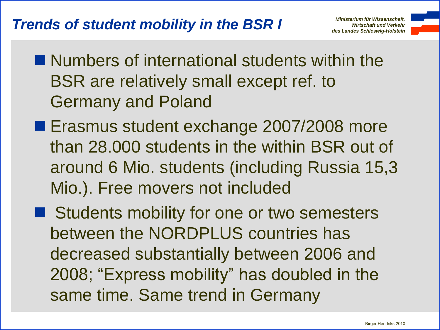

- $\blacksquare$  Numbers of international students within the BSR are relatively small except ref. to Germany and Poland
- **Example 1 Erasmus student exchange 2007/2008 more** than 28.000 students in the within BSR out of around 6 Mio. students (including Russia 15,3 Mio.). Free movers not included
- Students mobility for one or two semesters between the NORDPLUS countries has decreased substantially between 2006 and 2008; "Express mobility" has doubled in the same time. Same trend in Germany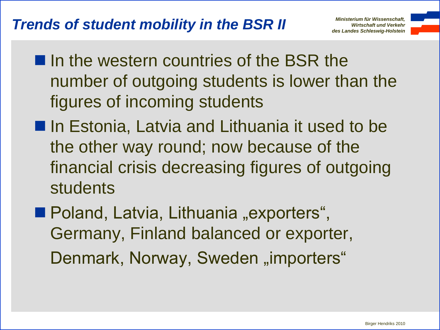#### *Wirtschaft und Verkehr Trends of student mobility in the BSR II des Landes Schleswig-Holstein*

- 
- In the western countries of the BSR the number of outgoing students is lower than the figures of incoming students
- **In Estonia, Latvia and Lithuania it used to be** the other way round; now because of the financial crisis decreasing figures of outgoing students
- Poland, Latvia, Lithuania "exporters", Germany, Finland balanced or exporter, Denmark, Norway, Sweden "importers"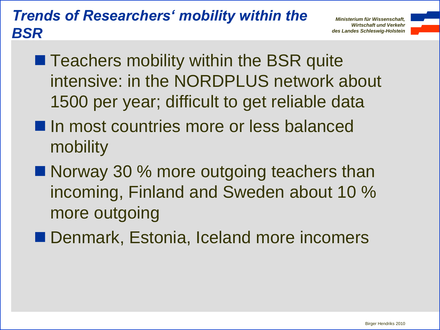#### *Trends of Researchers' mobility within the BSR*

*Ministerium für Wissenschaft, Wirtschaft und Verkehr des Landes Schleswig-Holstein*

- 
- **Teachers mobility within the BSR quite** intensive: in the NORDPLUS network about 1500 per year; difficult to get reliable data
- **In most countries more or less balanced** mobility
- Norway 30 % more outgoing teachers than incoming, Finland and Sweden about 10 % more outgoing
- Denmark, Estonia, Iceland more incomers